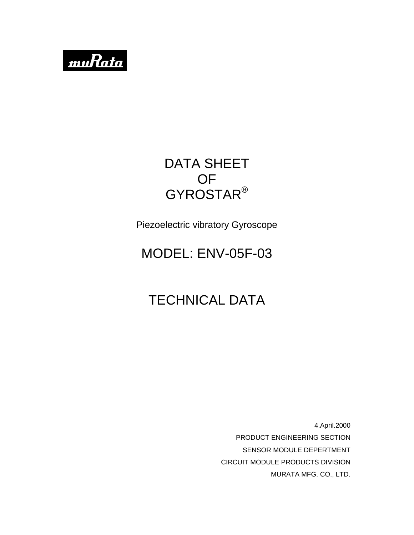

# DATA SHEET OF GYROSTAR®

Piezoelectric vibratory Gyroscope

# MODEL: ENV-05F-03

# TECHNICAL DATA

4.April.2000 PRODUCT ENGINEERING SECTION SENSOR MODULE DEPERTMENT CIRCUIT MODULE PRODUCTS DIVISION MURATA MFG. CO., LTD.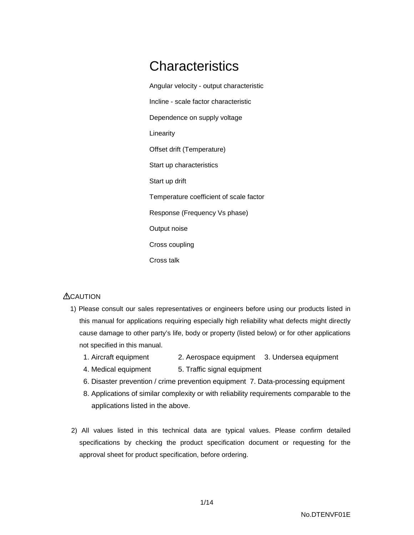# **Characteristics**

Angular velocity - output characteristic Incline - scale factor characteristic Dependence on supply voltage Linearity Offset drift (Temperature) Start up characteristics Start up drift Temperature coefficient of scale factor Response (Frequency Vs phase) Output noise Cross coupling Cross talk

#### **ACAUTION**

- 1) Please consult our sales representatives or engineers before using our products listed in this manual for applications requiring especially high reliability what defects might directly cause damage to other party's life, body or property (listed below) or for other applications not specified in this manual.
	- 1. Aircraft equipment 2. Aerospace equipment 3. Undersea equipment
	- 4. Medical equipment 5. Traffic signal equipment
	- 6. Disaster prevention / crime prevention equipment 7. Data-processing equipment
	- 8. Applications of similar complexity or with reliability requirements comparable to the applications listed in the above.
- 2) All values listed in this technical data are typical values. Please confirm detailed specifications by checking the product specification document or requesting for the approval sheet for product specification, before ordering.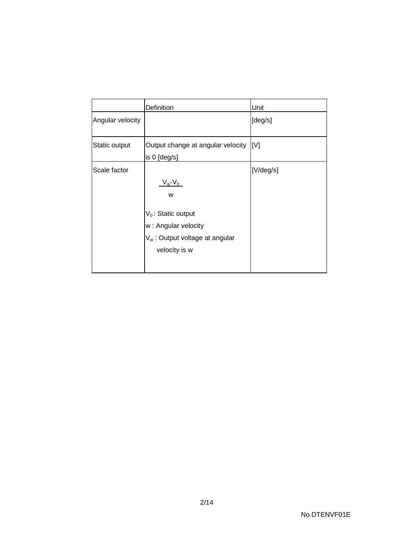|                  | Definition                                                                                                                      | Unit            |
|------------------|---------------------------------------------------------------------------------------------------------------------------------|-----------------|
| Angular velocity |                                                                                                                                 | [deg/s]         |
| Static output    | Output change at angular velocity<br>is 0 [deg/s]                                                                               | IM <sub>1</sub> |
| Scale factor     | $V_w - V_0$<br>w<br>$V_0$ : Static output<br>w: Angular velocity<br>V <sub>w</sub> : Output voltage at angular<br>velocity is w | [V/deg/s]       |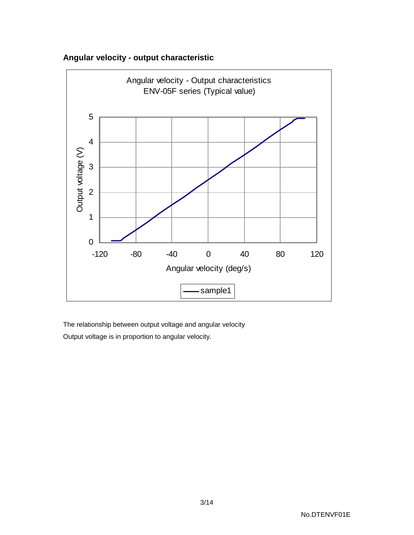



The relationship between output voltage and angular velocity Output voltage is in proportion to angular velocity.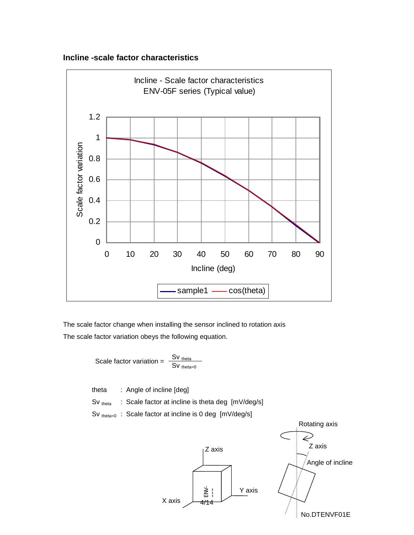



The scale factor change when installing the sensor inclined to rotation axis The scale factor variation obeys the following equation.

Scale factor variation = 
$$
\frac{Sv_{theta}}{Sv_{theta=0}}
$$

theta : Angle of incline [deg]

Sv theta : Scale factor at incline is theta deg  $[mV/deg/s]$ 

Sv theta=0 : Scale factor at incline is 0 deg  $[mV/deg/s]$ 

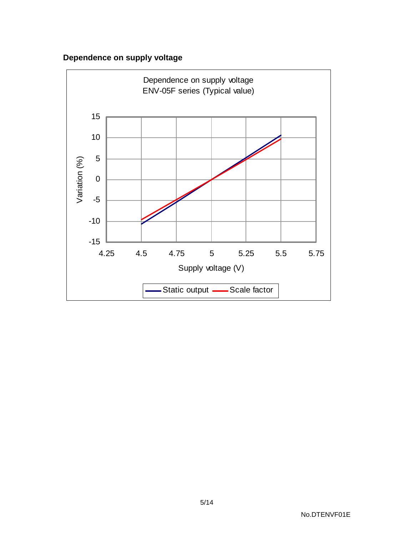## **Dependence on supply voltage**

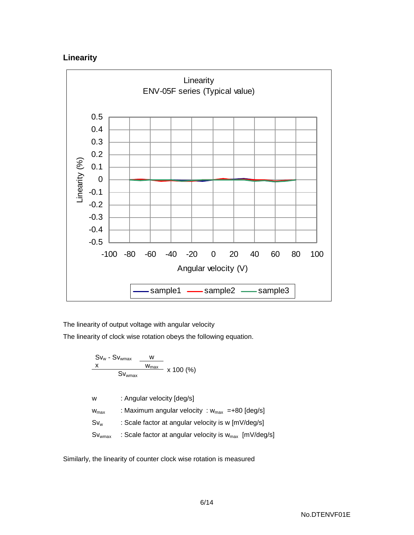### **Linearity**



The linearity of output voltage with angular velocity

The linearity of clock wise rotation obeys the following equation.

$$
\frac{x}{\frac{x}{\sqrt{W_{\text{max}}}} \cdot \frac{w}{\frac{W_{\text{max}}}{\sqrt{W_{\text{max}}}}}}
$$
 x 100 (%)

w : Angular velocity [deg/s]

 $w_{max}$  : Maximum angular velocity :  $w_{max}$  =+80 [deg/s]

- $Sv_{w}$  : Scale factor at angular velocity is w [mV/deg/s]
- $Sv_{\text{wmax}}$  : Scale factor at angular velocity is  $w_{\text{max}}$  [mV/deg/s]

Similarly, the linearity of counter clock wise rotation is measured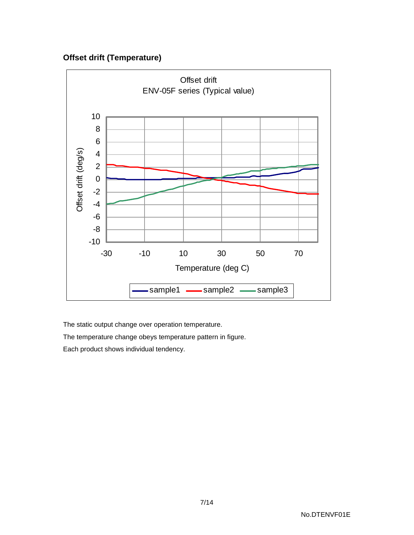### **Offset drift (Temperature)**



The static output change over operation temperature.

The temperature change obeys temperature pattern in figure.

Each product shows individual tendency.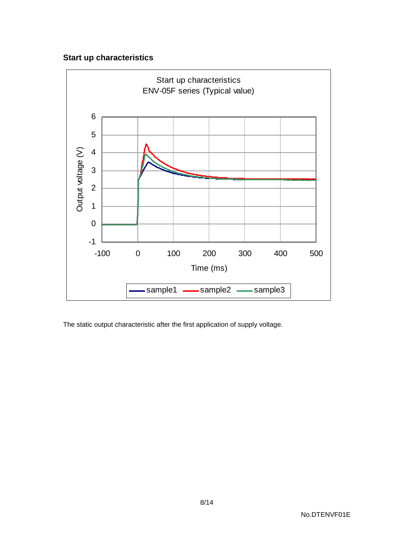### **Start up characteristics**



The static output characteristic after the first application of supply voltage.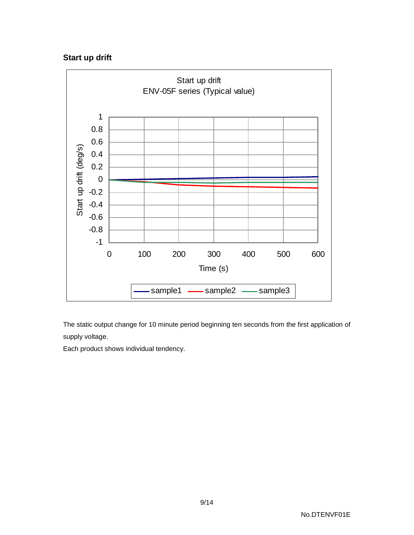### **Start up drift**



The static output change for 10 minute period beginning ten seconds from the first application of supply voltage.

Each product shows individual tendency.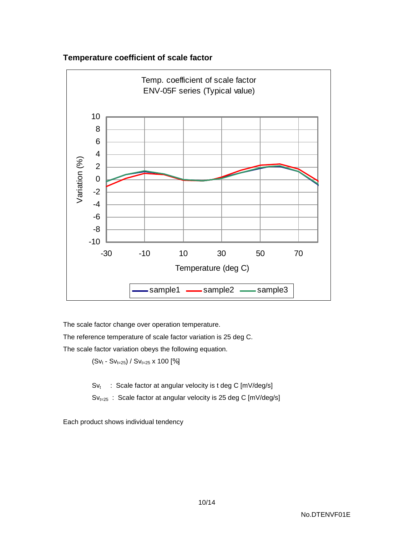#### **Temperature coefficient of scale factor**



The scale factor change over operation temperature.

The reference temperature of scale factor variation is 25 deg C.

The scale factor variation obeys the following equation.

 $(Sv_t - Sv_{t=25})$  /  $Sv_{t=25}$  x 100 [%]

 $Sv_t$  : Scale factor at angular velocity is t deg C [mV/deg/s]

 $Sv_{t=25}$  : Scale factor at angular velocity is 25 deg C [mV/deg/s]

Each product shows individual tendency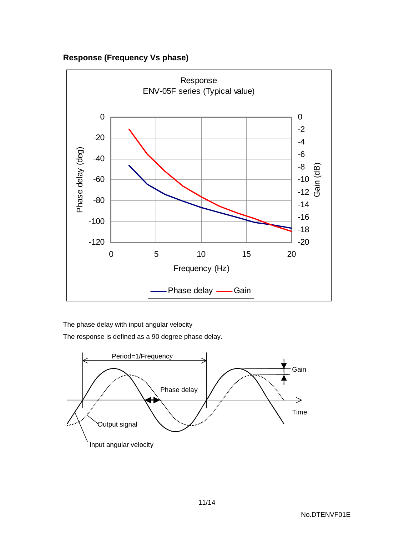**Response (Frequency Vs phase)**



The phase delay with input angular velocity

The response is defined as a 90 degree phase delay.

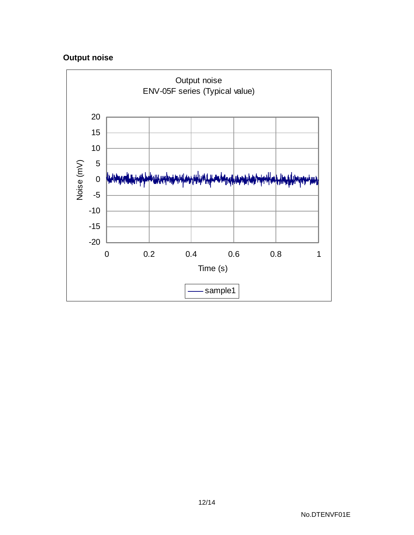## **Output noise**

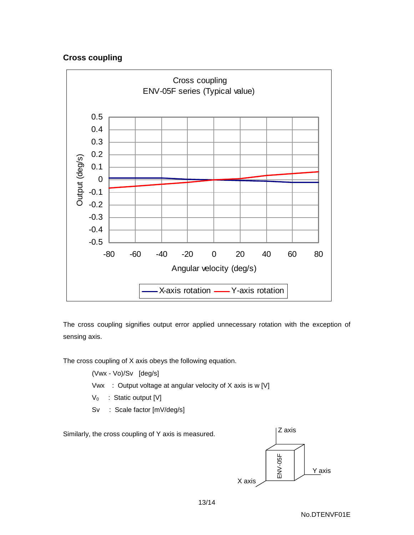#### **Cross coupling**



The cross coupling signifies output error applied unnecessary rotation with the exception of sensing axis.

The cross coupling of X axis obeys the following equation.

(Vwx - Vo)/Sv [deg/s]

- Vwx : Output voltage at angular velocity of X axis is w [V]
- $V_0$  : Static output [V]
- Sv : Scale factor [mV/deg/s]

Similarly, the cross coupling of Y axis is measured.